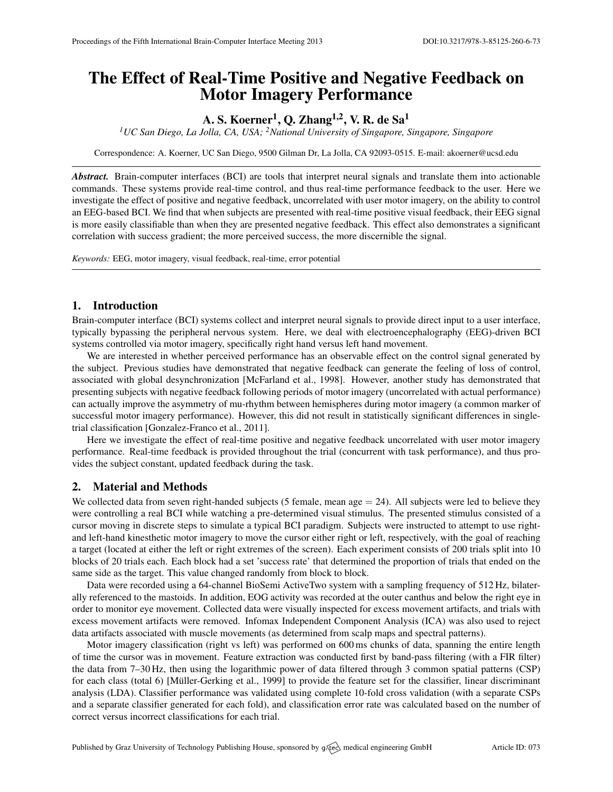# The Effect of Real-Time Positive and Negative Feedback on Motor Imagery Performance

## A. S. Koerner $^1$ , Q. Zhang $^{1,2}$ , V. R. de Sa $^1$

*<sup>1</sup>UC San Diego, La Jolla, CA, USA; <sup>2</sup>National University of Singapore, Singapore, Singapore*

Correspondence: A. Koerner, UC San Diego, 9500 Gilman Dr, La Jolla, CA 92093-0515. E-mail: [akoerner@ucsd.edu](mailto:akoerner@ucsd.edu)

*Abstract.* Brain-computer interfaces (BCI) are tools that interpret neural signals and translate them into actionable commands. These systems provide real-time control, and thus real-time performance feedback to the user. Here we investigate the effect of positive and negative feedback, uncorrelated with user motor imagery, on the ability to control an EEG-based BCI. We find that when subjects are presented with real-time positive visual feedback, their EEG signal is more easily classifiable than when they are presented negative feedback. This effect also demonstrates a significant correlation with success gradient; the more perceived success, the more discernible the signal.

*Keywords:* EEG, motor imagery, visual feedback, real-time, error potential

## 1. Introduction

Brain-computer interface (BCI) systems collect and interpret neural signals to provide direct input to a user interface, typically bypassing the peripheral nervous system. Here, we deal with electroencephalography (EEG)-driven BCI systems controlled via motor imagery, specifically right hand versus left hand movement.

We are interested in whether perceived performance has an observable effect on the control signal generated by the subject. Previous studies have demonstrated that negative feedback can generate the feeling of loss of control, associated with global desynchronization [\[McFarland et al.,](#page-1-0) [1998\]](#page-1-0). However, another study has demonstrated that presenting subjects with negative feedback following periods of motor imagery (uncorrelated with actual performance) can actually improve the asymmetry of mu-rhythm between hemispheres during motor imagery (a common marker of successful motor imagery performance). However, this did not result in statistically significant differences in singletrial classification [\[Gonzalez-Franco et al.,](#page-1-1) [2011\]](#page-1-1).

Here we investigate the effect of real-time positive and negative feedback uncorrelated with user motor imagery performance. Real-time feedback is provided throughout the trial (concurrent with task performance), and thus provides the subject constant, updated feedback during the task.

## 2. Material and Methods

We collected data from seven right-handed subjects (5 female, mean age  $= 24$ ). All subjects were led to believe they were controlling a real BCI while watching a pre-determined visual stimulus. The presented stimulus consisted of a cursor moving in discrete steps to simulate a typical BCI paradigm. Subjects were instructed to attempt to use rightand left-hand kinesthetic motor imagery to move the cursor either right or left, respectively, with the goal of reaching a target (located at either the left or right extremes of the screen). Each experiment consists of 200 trials split into 10 blocks of 20 trials each. Each block had a set 'success rate' that determined the proportion of trials that ended on the same side as the target. This value changed randomly from block to block.

Data were recorded using a 64-channel BioSemi ActiveTwo system with a sampling frequency of 512 Hz, bilaterally referenced to the mastoids. In addition, EOG activity was recorded at the outer canthus and below the right eye in order to monitor eye movement. Collected data were visually inspected for excess movement artifacts, and trials with excess movement artifacts were removed. Infomax Independent Component Analysis (ICA) was also used to reject data artifacts associated with muscle movements (as determined from scalp maps and spectral patterns).

Motor imagery classification (right vs left) was performed on 600 ms chunks of data, spanning the entire length of time the cursor was in movement. Feature extraction was conducted first by band-pass filtering (with a FIR filter) the data from 7–30 Hz, then using the logarithmic power of data filtered through 3 common spatial patterns (CSP) for each class (total 6) [Müller-Gerking et al., [1999\]](#page-1-2) to provide the feature set for the classifier, linear discriminant analysis (LDA). Classifier performance was validated using complete 10-fold cross validation (with a separate CSPs and a separate classifier generated for each fold), and classification error rate was calculated based on the number of correct versus incorrect classifications for each trial.